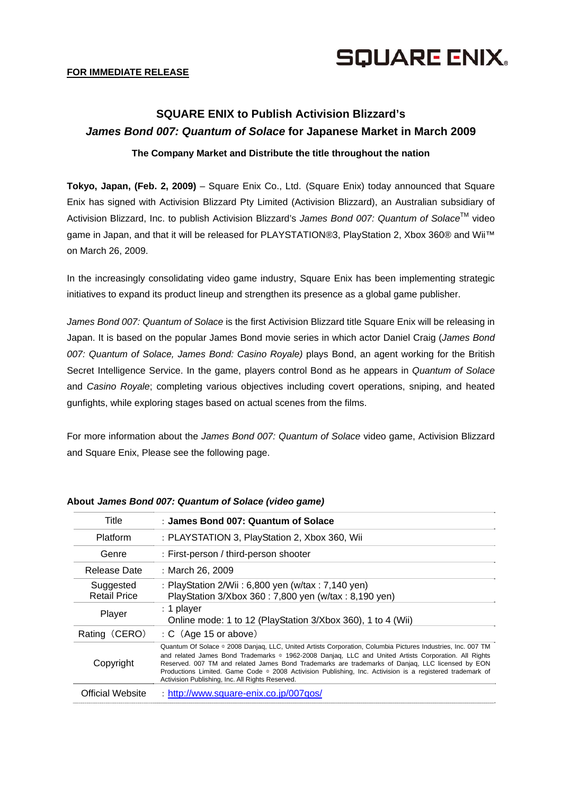

## **FOR IMMEDIATE RELEASE**

# **SQUARE ENIX to Publish Activision Blizzard's**  *James Bond 007: Quantum of Solace* **for Japanese Market in March 2009**

# **The Company Market and Distribute the title throughout the nation**

**Tokyo, Japan, (Feb. 2, 2009)** – Square Enix Co., Ltd. (Square Enix) today announced that Square Enix has signed with Activision Blizzard Pty Limited (Activision Blizzard), an Australian subsidiary of Activision Blizzard, Inc. to publish Activision Blizzard's *James Bond 007: Quantum of Solace*TM video game in Japan, and that it will be released for PLAYSTATION®3, PlayStation 2, Xbox 360® and Wii™ on March 26, 2009.

In the increasingly consolidating video game industry, Square Enix has been implementing strategic initiatives to expand its product lineup and strengthen its presence as a global game publisher.

*James Bond 007: Quantum of Solace* is the first Activision Blizzard title Square Enix will be releasing in Japan. It is based on the popular James Bond movie series in which actor Daniel Craig (*James Bond 007: Quantum of Solace, James Bond: Casino Royale)* plays Bond, an agent working for the British Secret Intelligence Service. In the game, players control Bond as he appears in *Quantum of Solace*  and *Casino Royale*; completing various objectives including covert operations, sniping, and heated gunfights, while exploring stages based on actual scenes from the films.

For more information about the *James Bond 007: Quantum of Solace* video game, Activision Blizzard and Square Enix, Please see the following page.

| Title                            | : James Bond 007: Quantum of Solace                                                                                                                                                                                                                                                                                                                                                                                                                                                      |
|----------------------------------|------------------------------------------------------------------------------------------------------------------------------------------------------------------------------------------------------------------------------------------------------------------------------------------------------------------------------------------------------------------------------------------------------------------------------------------------------------------------------------------|
| Platform                         | : PLAYSTATION 3, PlayStation 2, Xbox 360, Wii                                                                                                                                                                                                                                                                                                                                                                                                                                            |
| Genre                            | : First-person / third-person shooter                                                                                                                                                                                                                                                                                                                                                                                                                                                    |
| Release Date                     | : March 26, 2009                                                                                                                                                                                                                                                                                                                                                                                                                                                                         |
| Suggested<br><b>Retail Price</b> | : PlayStation 2/Wii : 6,800 yen (w/tax : 7,140 yen)<br>PlayStation 3/Xbox 360 : 7,800 yen (w/tax : 8,190 yen)                                                                                                                                                                                                                                                                                                                                                                            |
| Player                           | : 1 player<br>Online mode: 1 to 12 (PlayStation 3/Xbox 360), 1 to 4 (Wii)                                                                                                                                                                                                                                                                                                                                                                                                                |
| Rating (CERO)                    | $\therefore$ C (Age 15 or above)                                                                                                                                                                                                                                                                                                                                                                                                                                                         |
| Copyright                        | Quantum Of Solace © 2008 Danjag, LLC, United Artists Corporation, Columbia Pictures Industries, Inc. 007 TM<br>and related James Bond Trademarks © 1962-2008 Danjag, LLC and United Artists Corporation. All Rights<br>Reserved. 007 TM and related James Bond Trademarks are trademarks of Danjag, LLC licensed by EON<br>Productions Limited. Game Code . 2008 Activision Publishing, Inc. Activision is a registered trademark of<br>Activision Publishing, Inc. All Rights Reserved. |
| Official Website                 | : http://www.square-enix.co.jp/007qos/                                                                                                                                                                                                                                                                                                                                                                                                                                                   |

#### **About** *James Bond 007: Quantum of Solace (video game)*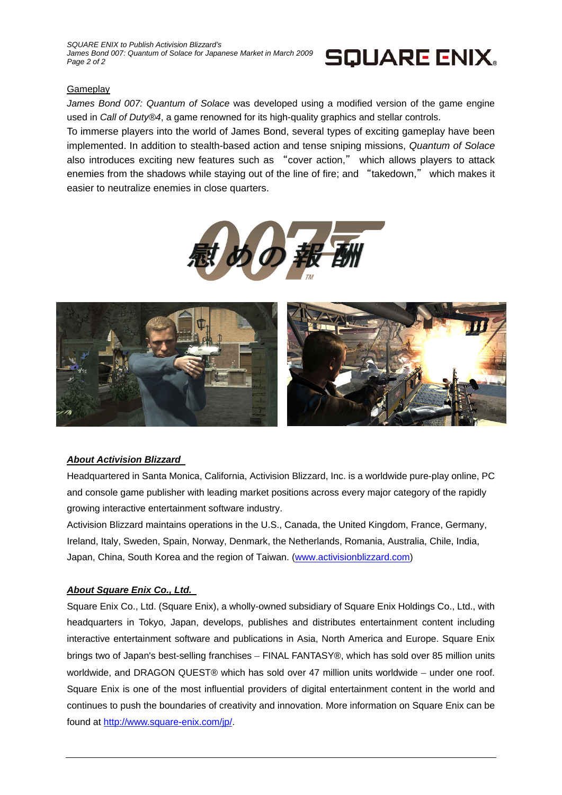*SQUARE ENIX to Publish Activision Blizzard's*  James Bond 007: Quantum of Solace for Japanese Market in March 2009 *Page 2 of 2* 



## **Gameplay**

*James Bond 007: Quantum of Solace* was developed using a modified version of the game engine used in *Call of Duty®4*, a game renowned for its high-quality graphics and stellar controls.

To immerse players into the world of James Bond, several types of exciting gameplay have been implemented. In addition to stealth-based action and tense sniping missions, *Quantum of Solace* also introduces exciting new features such as "cover action," which allows players to attack enemies from the shadows while staying out of the line of fire; and "takedown," which makes it easier to neutralize enemies in close quarters.





## *About Activision Blizzard*

Headquartered in Santa Monica, California, Activision Blizzard, Inc. is a worldwide pure-play online, PC and console game publisher with leading market positions across every major category of the rapidly growing interactive entertainment software industry.

Activision Blizzard maintains operations in the U.S., Canada, the United Kingdom, France, Germany, Ireland, Italy, Sweden, Spain, Norway, Denmark, the Netherlands, Romania, Australia, Chile, India, Japan, China, South Korea and the region of Taiwan. (www.activisionblizzard.com)

## *About Square Enix Co., Ltd.*

Square Enix Co., Ltd. (Square Enix), a wholly-owned subsidiary of Square Enix Holdings Co., Ltd., with headquarters in Tokyo, Japan, develops, publishes and distributes entertainment content including interactive entertainment software and publications in Asia, North America and Europe. Square Enix brings two of Japan's best-selling franchises – FINAL FANTASY®, which has sold over 85 million units worldwide, and DRAGON QUEST® which has sold over 47 million units worldwide – under one roof. Square Enix is one of the most influential providers of digital entertainment content in the world and continues to push the boundaries of creativity and innovation. More information on Square Enix can be found at http://www.square-enix.com/jp/.